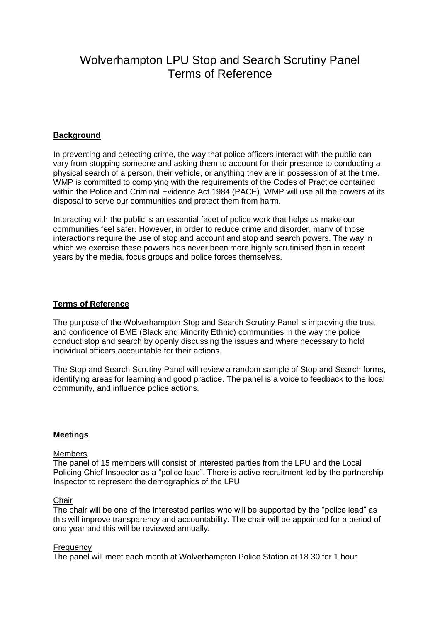# Wolverhampton LPU Stop and Search Scrutiny Panel Terms of Reference

# **Background**

In preventing and detecting crime, the way that police officers interact with the public can vary from stopping someone and asking them to account for their presence to conducting a physical search of a person, their vehicle, or anything they are in possession of at the time. WMP is committed to complying with the requirements of the Codes of Practice contained within the Police and Criminal Evidence Act 1984 (PACE). WMP will use all the powers at its disposal to serve our communities and protect them from harm.

Interacting with the public is an essential facet of police work that helps us make our communities feel safer. However, in order to reduce crime and disorder, many of those interactions require the use of stop and account and stop and search powers. The way in which we exercise these powers has never been more highly scrutinised than in recent years by the media, focus groups and police forces themselves.

## **Terms of Reference**

The purpose of the Wolverhampton Stop and Search Scrutiny Panel is improving the trust and confidence of BME (Black and Minority Ethnic) communities in the way the police conduct stop and search by openly discussing the issues and where necessary to hold individual officers accountable for their actions.

The Stop and Search Scrutiny Panel will review a random sample of Stop and Search forms, identifying areas for learning and good practice. The panel is a voice to feedback to the local community, and influence police actions.

## **Meetings**

#### Members

The panel of 15 members will consist of interested parties from the LPU and the Local Policing Chief Inspector as a "police lead". There is active recruitment led by the partnership Inspector to represent the demographics of the LPU.

#### **Chair**

The chair will be one of the interested parties who will be supported by the "police lead" as this will improve transparency and accountability. The chair will be appointed for a period of one year and this will be reviewed annually.

#### **Frequency**

The panel will meet each month at Wolverhampton Police Station at 18.30 for 1 hour